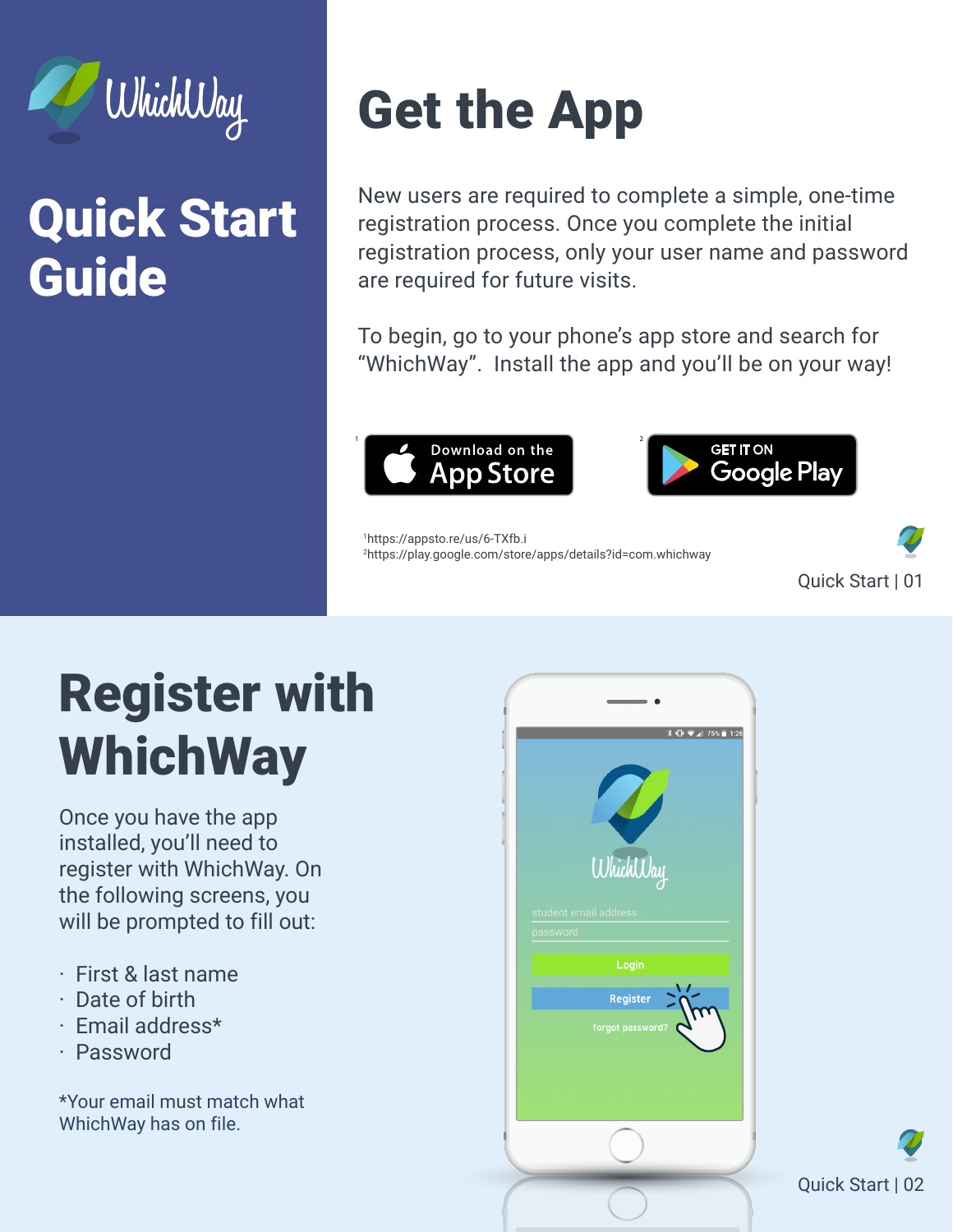

#### Quick Start Guide

# Get the App

New users are required to complete a simple, one-time registration process. Once you complete the initial registration process, only your user name and password are required for future visits.

To begin, go to your phone's app store and search for "WhichWay". Install the app and you'll be on your way!





1 https://appsto.re/us/6-TXfb.i 2 https://play.google.com/store/apps/details?id=com.whichway



## Register with WhichWay

Once you have the app installed, you'll need to register with WhichWay. On the following screens, you will be prompted to fill out:

- · First & last name
- · Date of birth
- · Email address\*
- · Password

\*Your email must match what WhichWay has on file.



Quick Start | 02